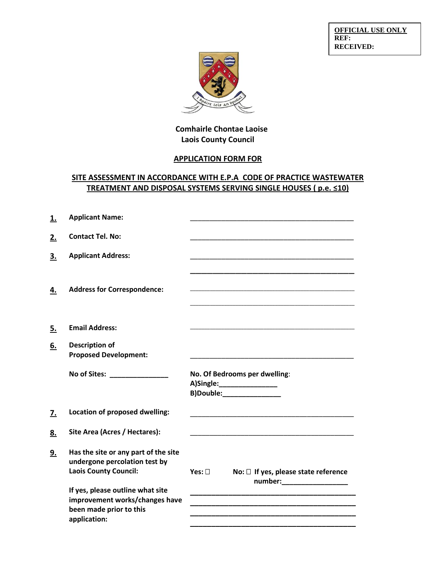**OFFICIAL USE ONLY REF: RECEIVED:**



## **Comhairle Chontae Laoise Laois County Council**

# **APPLICATION FORM FOR**

## **SITE ASSESSMENT IN ACCORDANCE WITH E.P.A CODE OF PRACTICE WASTEWATER TREATMENT AND DISPOSAL SYSTEMS SERVING SINGLE HOUSES ( p.e. ≤10)**

| <u>1.</u> | <b>Applicant Name:</b>                                                                                |                                                                                                                                                                                                                                      |
|-----------|-------------------------------------------------------------------------------------------------------|--------------------------------------------------------------------------------------------------------------------------------------------------------------------------------------------------------------------------------------|
| 2.        | <b>Contact Tel. No:</b>                                                                               |                                                                                                                                                                                                                                      |
| 3.        | <b>Applicant Address:</b>                                                                             |                                                                                                                                                                                                                                      |
|           |                                                                                                       |                                                                                                                                                                                                                                      |
| 4.        | <b>Address for Correspondence:</b>                                                                    |                                                                                                                                                                                                                                      |
|           |                                                                                                       |                                                                                                                                                                                                                                      |
| <u>5.</u> | <b>Email Address:</b>                                                                                 | <u> 1980 - Johann John Stone, mars and de final and de final and design and design and design and design and design and design and design and design and design and design and design and design and design and design and desig</u> |
| 6.        | <b>Description of</b><br><b>Proposed Development:</b>                                                 | <u> 1990 - Jan James Barnett, mars et al. (</u>                                                                                                                                                                                      |
|           | No of Sites: No of Sites:                                                                             | No. Of Bedrooms per dwelling:<br>A)Single:___________________<br>B)Double:________________                                                                                                                                           |
| <u>z.</u> | <b>Location of proposed dwelling:</b>                                                                 |                                                                                                                                                                                                                                      |
| 8.        | Site Area (Acres / Hectares):                                                                         |                                                                                                                                                                                                                                      |
| 9.        | Has the site or any part of the site<br>undergone percolation test by<br><b>Laois County Council:</b> | Yes: $\square$<br>No: $\Box$ If yes, please state reference                                                                                                                                                                          |
|           |                                                                                                       | number:___________________                                                                                                                                                                                                           |
|           | If yes, please outline what site<br>improvement works/changes have<br>been made prior to this         |                                                                                                                                                                                                                                      |
|           | application:                                                                                          |                                                                                                                                                                                                                                      |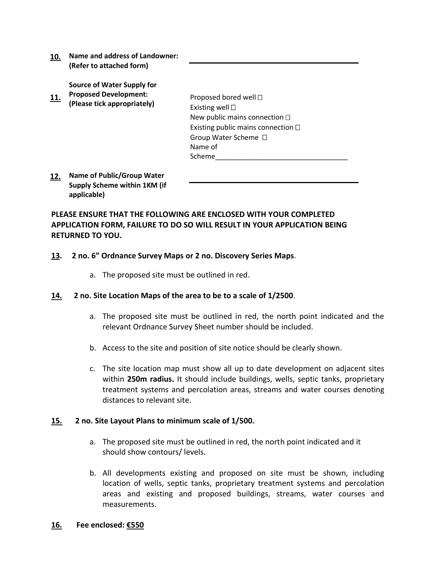**10. Name and address of Landowner: (Refer to attached form)**

**Source of Water Supply for** 

**11. Proposed Development: (Please tick appropriately)** 

Proposed bored well  $\Box$ Existing well  $\Box$ New public mains connection  $\square$ Existing public mains connection  $\Box$ Group Water Scheme Name of Scheme\_\_\_\_\_\_\_\_\_\_\_\_\_\_\_\_\_\_\_\_\_\_\_\_\_\_\_\_\_\_\_\_\_\_

**12. Name of Public/Group Water Supply Scheme within 1KM (if applicable)**

**PLEASE ENSURE THAT THE FOLLOWING ARE ENCLOSED WITH YOUR COMPLETED APPLICATION FORM, FAILURE TO DO SO WILL RESULT IN YOUR APPLICATION BEING RETURNED TO YOU.**

#### **13. 2 no. 6" Ordnance Survey Maps or 2 no. Discovery Series Maps**.

a. The proposed site must be outlined in red.

#### **14. 2 no. Site Location Maps of the area to be to a scale of 1/2500**.

- a. The proposed site must be outlined in red, the north point indicated and the relevant Ordnance Survey Sheet number should be included.
- b. Access to the site and position of site notice should be clearly shown.
- c. The site location map must show all up to date development on adjacent sites within **250m radius.** It should include buildings, wells, septic tanks, proprietary treatment systems and percolation areas, streams and water courses denoting distances to relevant site.

#### **15. 2 no. Site Layout Plans to minimum scale of 1/500.**

- a. The proposed site must be outlined in red, the north point indicated and it should show contours/ levels.
- b. All developments existing and proposed on site must be shown, including location of wells, septic tanks, proprietary treatment systems and percolation areas and existing and proposed buildings, streams, water courses and measurements.
- **16. Fee enclosed: €550**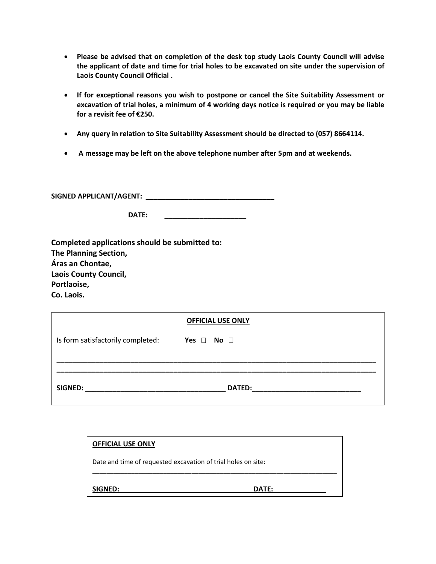- **Please be advised that on completion of the desk top study Laois County Council will advise the applicant of date and time for trial holes to be excavated on site under the supervision of Laois County Council Official .**
- **If for exceptional reasons you wish to postpone or cancel the Site Suitability Assessment or excavation of trial holes, a minimum of 4 working days notice is required or you may be liable for a revisit fee of €250.**
- **Any query in relation to Site Suitability Assessment should be directed to (057) 8664114.**
- **A message may be left on the above telephone number after 5pm and at weekends.**

**SIGNED APPLICANT/AGENT: \_\_\_\_\_\_\_\_\_\_\_\_\_\_\_\_\_\_\_\_\_\_\_\_\_\_\_\_\_\_\_\_\_**

| DATE: |  |
|-------|--|
|       |  |

| Completed applications should be submitted to: |
|------------------------------------------------|
| The Planning Section,                          |
| Áras an Chontae,                               |
| <b>Laois County Council,</b>                   |
| Portlaoise,                                    |
| Co. Laois.                                     |

| <b>OFFICIAL USE ONLY</b>          |                                                                                                                                        |  |
|-----------------------------------|----------------------------------------------------------------------------------------------------------------------------------------|--|
| Is form satisfactorily completed: | Yes $\Box$ No $\Box$                                                                                                                   |  |
|                                   |                                                                                                                                        |  |
|                                   |                                                                                                                                        |  |
| SIGNED:                           | <b>DATED:</b><br><u> 1980 - John Stein, mars and de Britain and de Britain and de Britain and de Britain and de Britain and de Bri</u> |  |
|                                   |                                                                                                                                        |  |

| <b>OFFICIAL USE ONLY</b>                                      |       |  |
|---------------------------------------------------------------|-------|--|
| Date and time of requested excavation of trial holes on site: |       |  |
| SIGNED:                                                       | DATE: |  |
|                                                               |       |  |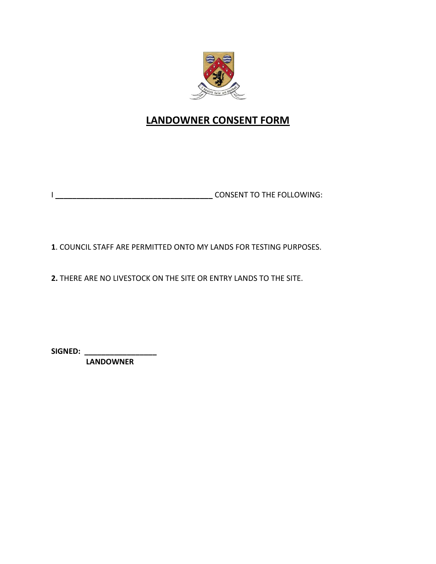

# **LANDOWNER CONSENT FORM**

I **\_\_\_\_\_\_\_\_\_\_\_\_\_\_\_\_\_\_\_\_\_\_\_\_\_\_\_\_\_\_\_\_\_\_\_\_\_** CONSENT TO THE FOLLOWING:

**1**. COUNCIL STAFF ARE PERMITTED ONTO MY LANDS FOR TESTING PURPOSES.

**2.** THERE ARE NO LIVESTOCK ON THE SITE OR ENTRY LANDS TO THE SITE.

**SIGNED: \_\_\_\_\_\_\_\_\_\_\_\_\_\_\_\_\_**

 **LANDOWNER**